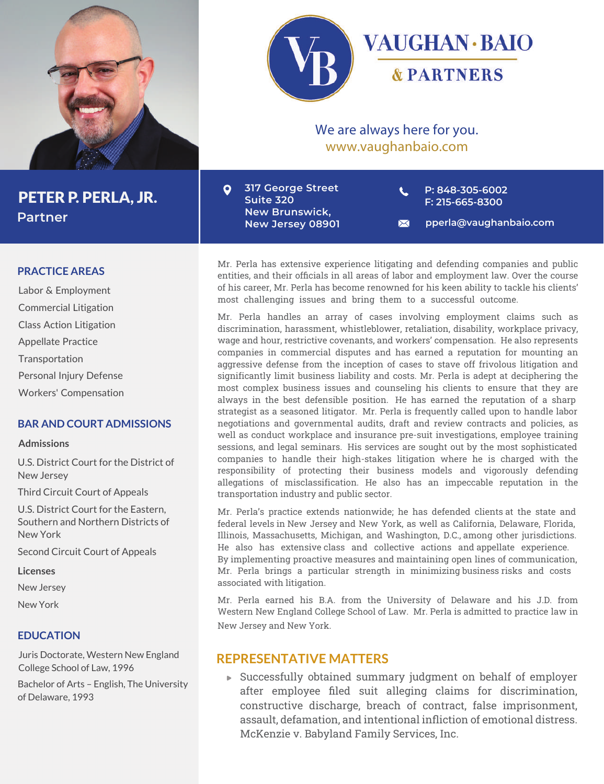



## We are always here for you. www.vaughanbaio.com

**317 George Street**  $\bullet$ **Suite 320 New Brunswick, New Jersey 08901** **P: 848-305-6002 F: 215-665-8300**

**pperla@vaughanbaio.com**  $\boxtimes$ 

Mr. Perla has extensive experience litigating and defending companies and public entities, and their officials in all areas of labor and employment law. Over the course of his career, Mr. Perla has become renowned for his keen ability to tackle his clients' most challenging issues and bring them to a successful outcome.

Mr. Perla handles an array of cases involving employment claims such as discrimination, harassment, whistleblower, retaliation, disability, workplace privacy, wage and hour, restrictive covenants, and workers' compensation. He also represents companies in commercial disputes and has earned a reputation for mounting an aggressive defense from the inception of cases to stave off frivolous litigation and significantly limit business liability and costs. Mr. Perla is adept at deciphering the most complex business issues and counseling his clients to ensure that they are always in the best defensible position. He has earned the reputation of a sharp strategist as a seasoned litigator. Mr. Perla is frequently called upon to handle labor negotiations and governmental audits, draft and review contracts and policies, as well as conduct workplace and insurance pre-suit investigations, employee training sessions, and legal seminars. His services are sought out by the most sophisticated companies to handle their high-stakes litigation where he is charged with the responsibility of protecting their business models and vigorously defending allegations of misclassification. He also has an impeccable reputation in the transportation industry and public sector.

Mr. Perla's practice extends nationwide; he has defended clients at the state and federal levels in New Jersey and New York, as well as California, Delaware, Florida, Illinois, Massachusetts, Michigan, and Washington, D.C., among other jurisdictions. He also has extensive class and collective actions and appellate experience. By implementing proactive measures and maintaining open lines of communication, Mr. Perla brings a particular strength in minimizing business risks and costs associated with litigation.

Mr. Perla earned his B.A. from the University of Delaware and his J.D. from Western New England College School of Law. Mr. Perla is admitted to practice law in New Jersey and New York.

### **REPRESENTATIVE MATTERS**

Successfully obtained summary judgment on behalf of employer after employee filed suit alleging claims for discrimination, constructive discharge, breach of contract, false imprisonment, assault, defamation, and intentional infliction of emotional distress. McKenzie v. Babyland Family Services, Inc.

#### **PRACTICE AREAS**

Labor & Employment Commercial Litigation Class Action Litigation Appellate Practice Transportation Personal Injury Defense Workers' Compensation

### **BAR AND COURT ADMISSIONS**

#### **Admissions**

U.S. District Court for the District of New Jersey

Third Circuit Court of Appeals

U.S. District Court for the Eastern, Southern and Northern Districts of New York

Second Circuit Court of Appeals

**Licenses**

New Jersey

New York

#### **EDUCATION**

Juris Doctorate, Western New England College School of Law, 1996

Bachelor of Arts – English, The University of Delaware, 1993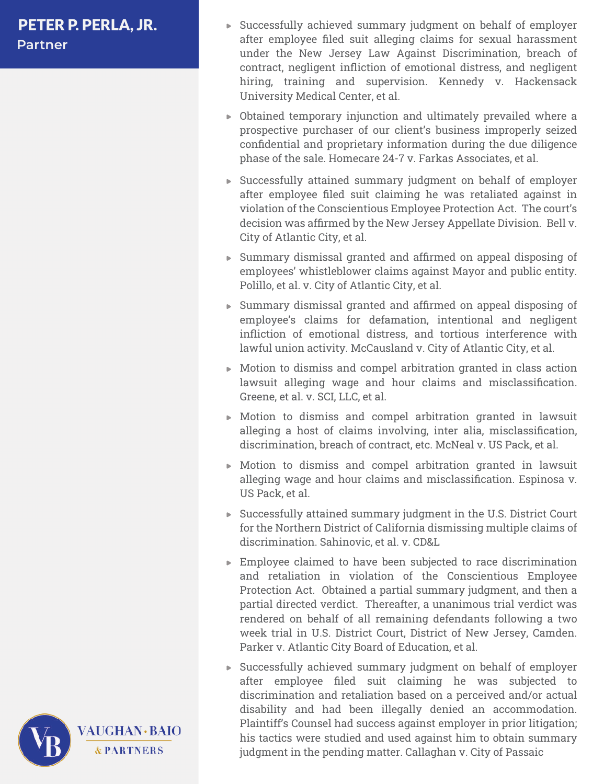- Successfully achieved summary judgment on behalf of employer after employee filed suit alleging claims for sexual harassment under the New Jersey Law Against Discrimination, breach of contract, negligent infliction of emotional distress, and negligent hiring, training and supervision. Kennedy v. Hackensack University Medical Center, et al.
- Obtained temporary injunction and ultimately prevailed where a prospective purchaser of our client's business improperly seized confidential and proprietary information during the due diligence phase of the sale. Homecare 24-7 v. Farkas Associates, et al.
- Successfully attained summary judgment on behalf of employer after employee filed suit claiming he was retaliated against in violation of the Conscientious Employee Protection Act. The court's decision was affirmed by the New Jersey Appellate Division. Bell v. City of Atlantic City, et al.
- Summary dismissal granted and affirmed on appeal disposing of employees' whistleblower claims against Mayor and public entity. Polillo, et al. v. City of Atlantic City, et al.
- Summary dismissal granted and affirmed on appeal disposing of employee's claims for defamation, intentional and negligent infliction of emotional distress, and tortious interference with lawful union activity. McCausland v. City of Atlantic City, et al.
- Motion to dismiss and compel arbitration granted in class action lawsuit alleging wage and hour claims and misclassification. Greene, et al. v. SCI, LLC, et al.
- Motion to dismiss and compel arbitration granted in lawsuit alleging a host of claims involving, inter alia, misclassification, discrimination, breach of contract, etc. McNeal v. US Pack, et al.
- Motion to dismiss and compel arbitration granted in lawsuit alleging wage and hour claims and misclassification. Espinosa v. US Pack, et al.
- Successfully attained summary judgment in the U.S. District Court for the Northern District of California dismissing multiple claims of discrimination. Sahinovic, et al. v. CD&L
- Employee claimed to have been subjected to race discrimination and retaliation in violation of the Conscientious Employee Protection Act. Obtained a partial summary judgment, and then a partial directed verdict. Thereafter, a unanimous trial verdict was rendered on behalf of all remaining defendants following a two week trial in U.S. District Court, District of New Jersey, Camden. Parker v. Atlantic City Board of Education, et al.
- Successfully achieved summary judgment on behalf of employer after employee filed suit claiming he was subjected to discrimination and retaliation based on a perceived and/or actual disability and had been illegally denied an accommodation. Plaintiff's Counsel had success against employer in prior litigation; his tactics were studied and used against him to obtain summary judgment in the pending matter. Callaghan v. City of Passaic

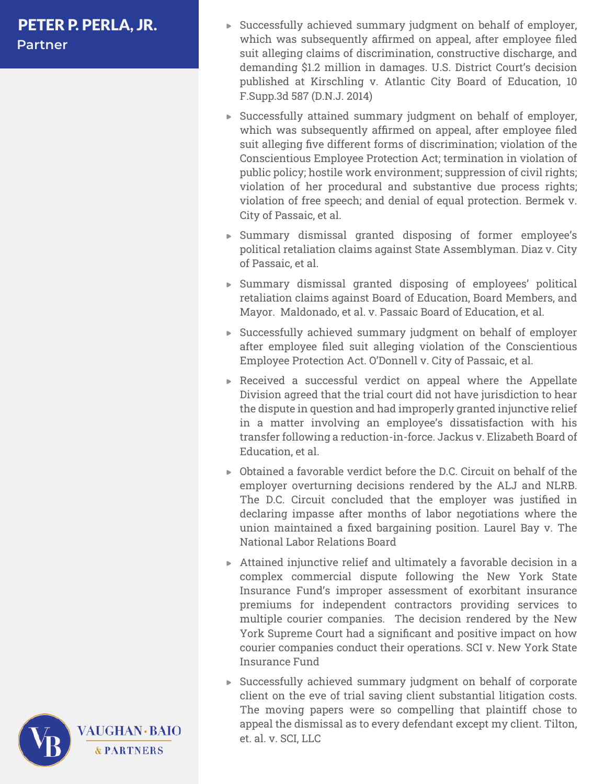- Successfully achieved summary judgment on behalf of employer, which was subsequently affirmed on appeal, after employee filed suit alleging claims of discrimination, constructive discharge, and demanding \$1.2 million in damages. U.S. District Court's decision published at Kirschling v. Atlantic City Board of Education, 10 F.Supp.3d 587 (D.N.J. 2014)
- Successfully attained summary judgment on behalf of employer, which was subsequently affirmed on appeal, after employee filed suit alleging five different forms of discrimination; violation of the Conscientious Employee Protection Act; termination in violation of public policy; hostile work environment; suppression of civil rights; violation of her procedural and substantive due process rights; violation of free speech; and denial of equal protection. Bermek v. City of Passaic, et al.
- Summary dismissal granted disposing of former employee's political retaliation claims against State Assemblyman. Diaz v. City of Passaic, et al.
- Summary dismissal granted disposing of employees' political retaliation claims against Board of Education, Board Members, and Mayor. Maldonado, et al. v. Passaic Board of Education, et al.
- Successfully achieved summary judgment on behalf of employer after employee filed suit alleging violation of the Conscientious Employee Protection Act. O'Donnell v. City of Passaic, et al.
- Received a successful verdict on appeal where the Appellate Division agreed that the trial court did not have jurisdiction to hear the dispute in question and had improperly granted injunctive relief in a matter involving an employee's dissatisfaction with his transfer following a reduction-in-force. Jackus v. Elizabeth Board of Education, et al.
- Obtained a favorable verdict before the D.C. Circuit on behalf of the employer overturning decisions rendered by the ALJ and NLRB. The D.C. Circuit concluded that the employer was justified in declaring impasse after months of labor negotiations where the union maintained a fixed bargaining position. Laurel Bay v. The National Labor Relations Board
- Attained injunctive relief and ultimately a favorable decision in a complex commercial dispute following the New York State Insurance Fund's improper assessment of exorbitant insurance premiums for independent contractors providing services to multiple courier companies. The decision rendered by the New York Supreme Court had a significant and positive impact on how courier companies conduct their operations. SCI v. New York State Insurance Fund
- Successfully achieved summary judgment on behalf of corporate client on the eve of trial saving client substantial litigation costs. The moving papers were so compelling that plaintiff chose to appeal the dismissal as to every defendant except my client. Tilton, et. al. v. SCI, LLC